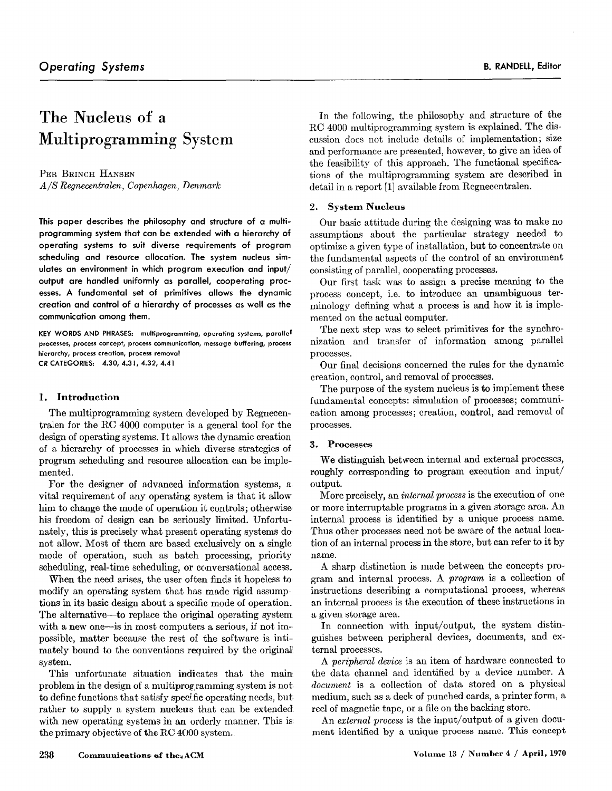# **The Nucleus of a Multiprogramming System**

**PIER BRINCIt HANSEN** 

*A /S Regnecentralen, Copenhagen, Denmark* 

**This paper describes the philosophy and structure of a multiprogramming system that can be extended with a hierarchy of operating systems to suit diverse requirements of program scheduling and resource allocation. The system nucleus simulates an environment in which program execution and input/ output are handled uniformly as parallel, cooperating processes. A fundamental set of primitives allows the dynamic creation and control of a hierarchy of processes as well as the communication among them.** 

**KEY WORDS AND PHRASES: multiprogramming, operating systems, paralle I processes, process concept, process communication, message buffering, process hierarchy, process creation, process removal**  *CR* **CATEGORIES: 4.30, 4.31, 4.32, 4.41** 

#### **l, Introduction**

The multiprogramming system developed by Regnecentralen for the RC 4000 computer is a general tool for the design of operating systems. It allows the dynamic creation of a hierarchy of processes in which diverse strategies of program scheduling and resource allocation can be implemented.

For the designer of advanced information systems, a. vital requirement of any operating system is that it allow him to change the mode of operation it controls; otherwise. his freedom of design can be seriously limited. Unfortunately, this is precisely what present operating systems do, not allow. Most of them are based exclusively on a single, mode of operation, such as batch processing, priority scheduling, real-time scheduling, or conversational access.

When the need arises, the user often finds it hopeless to modify an operating system that has made rigid assumptions in its basic design about a specific mode of operation. The alternative—to replace the original operating system with a new one--is in most computers a serious, if not impossible, matter because the rest of the software is intimately bound to the conventions required by the original system.

This unfortunate situation indicates that the main problem in the design of a multiprogramming system is not. to define functions that satisfy specific operating needs, but rather to supply a system nucleus that can be extended. with new operating systems in an orderly manner. This is: the primary objective of the RC 4000 system.

In the following, the philosophy and structure of the RC 4000 multiprogramming system is explained. The discussion does not include details of implementation; size and performance are presented, however, to give an idea of the feasibility of this approach. The functional specifications of the multiprogramming system are described in detail in a report [1] available from Regnecentralen.

#### **2. System Nucleus**

Our basic attitude during the designing was to make no assumptions about the particular strategy needed to optimize a given type of installation, but to concentrate on the fundamental aspects of the control of an environment consisting of parallel, cooperating processes.

Our first task was to assign a precise meaning to the process concept, i.e. to introduce an unambiguous terminology defining what a process is and how it is implemented on the actual computer.

The next step was to select primitives for the synchronization and transfer of information among parallel processes.

Our final decisions concerned the rules for the dynamic creation, control, and removal of processes.

The purpose of the system nucleus is to implement these fundamental concepts: simulation of processes; communication among processes; creation, control, and removal of processes.

#### **3. Processes**

We distinguish between internal and external processes, roughly corresponding to program execution and input/ output.

More precisely, an *internal process* is the execution of one or more interruptable programs in a given storage area. An internal process is identified by a unique process name. Thus other processes need not be aware of the actual location of an internal process in the store, but can refer to it by name.

A sharp distinction is made between the concepts program and internal process. A *program* is a collection of instructions describing a computational process, whereas an internal process is the execution of these instructions in a given storage area.

In connection with input/output, the system distinguishes between peripheral devices, documents, and external processes.

*A peripheral device* is an item of hardware connected to the data channel and identified by a device number. A *document* is a collection of data stored on a physical medium, such as a deck of punched cards, a printer form, a reel of magnetic tape, or a file on the backing store.

An *external process* is the input/output of a given document identified by a unique process name. This concept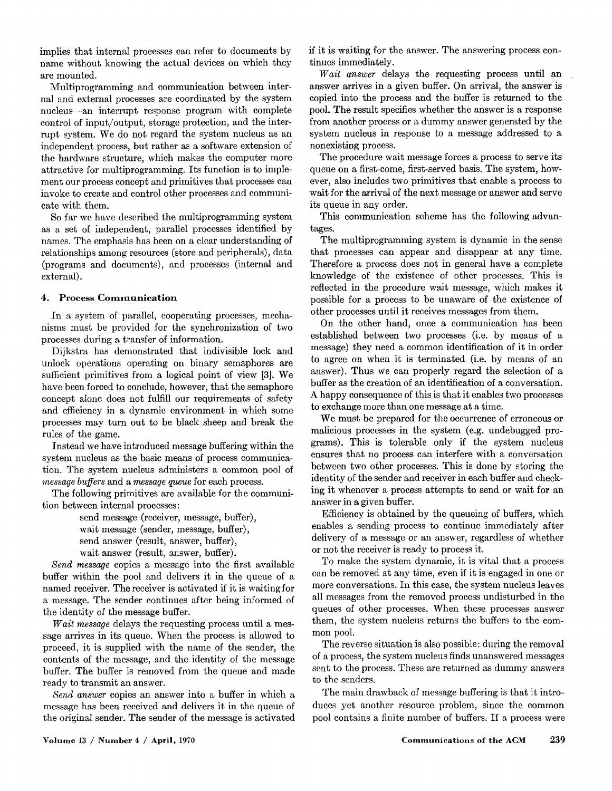implies that internal processes can refer to documents by name without knowing the actual devices on which they are mounted.

Multiprogramming and communication between internal and external processes are coordinated by the system nucleus--an interrupt response program with complete control of input/output, storage protection, and the interrupt system. We do not regard the system nucleus as an independent process, but rather as a software extension of the hardware structure, which makes the computer more attractive for multiprogramming. Its function is to implement our process concept and primitives that processes can invoke to create and control other processes and communicate with them.

So far we have described the multiprogramming system as a set of independent, parallel processes identified by names. The emphasis has been on a clear understanding of relationships among resources (store and peripherals), data (programs and documents), and processes (internal and external).

#### **4. Process Communication**

In a system of parallel, cooperating processes, mechanisms must be provided for the synchronization of two processes during a transfer of information.

Dijkstra has demonstrated that indivisible lock and unlock operations operating on binary semaphores are sufficient primitives from a logical point of view [3]. We have been forced to conclude, however, that the semaphore concept alone does not fulfill our requirements of safety and efficiency in a dynamic environment in which some processes may turn out to be black sheep and break the rules of the game.

Instead we have introduced message buffering within the system nucleus as the basic means of process communication. The system nucleus administers a common pool of *message buffers* and a *message queue* for each process.

The following primitives are available for the communition between internal processes:

send message (receiver, message, buffer),

wait message (sender, message, buffer),

send answer (result, answer, buffer),

wait answer (result, answer, buffer).

*Send message* copies a message into the first available buffer within the pool and delivers it in the queue of a named receiver. The receiver is activated if it is waiting for a message. The sender continues after being informed of the identity of the message buffer.

*Wait message* delays the requesting process until a message arrives in its queue. When the process is allowed to proceed, it is supplied with the name of the sender, the contents of the message, and the identity of the message buffer. The buffer is removed from the queue and made ready to transmit an answer.

*Send answer* copies an answer into a buffer in which a message has been received and delivers it in the queue of the original sender. The sender of the message is activated if it is waiting for the answer. The answering process continues immediately.

*Wait answer* delays the requesting process until an answer arrives in a given buffer. On arrival, the answer is copied into the process and the buffer is returned to the pool. The result specifies whether the answer is a response from another process or a dummy answer generated by the system nucleus in response to a message addressed to a nonexisting process.

The procedure wait message forces a process to serve its queue on a first-come, first-served basis. The system, however, also includes two primitives that enable a process to wait for the arrival of the next message or answer and serve its queue in any order.

This communication scheme has the following advantages.

The multiprogramming system is dynamic in the sense that processes can appear and disappear at any time. Therefore a process does not in general have a complete knowledge of the existence of other processes. This is reflected in the procedure wait message, which makes it possible for a process to be unaware of the existence of other processes until it receives messages from them.

On the other hand, once a communication has been established between two processes (i.e. by means of a message) they need a common identification of it in order to agree on when it is terminated (i.e. by means of an answer). Thus we can properly regard the selection of a buffer as the creation of an identification of a conversation. A happy consequence of this is that it enables two processes to exchange more than one message at a time.

We must be prepared for the occurrence of erroneous or malicious processes in the system (e.g. undebugged programs). This is tolerable only if the system nucleus ensures that no process can interfere with a conversation between two other processes. This is done by storing the identity of the sender and receiver in each buffer and checking it whenever a process attempts to send or wait for an answer in a given buffer.

Efficiency is obtained by the queueing of buffers, which enables a sending process to continue immediately after delivery of a message or an answer, regardless of whether or not the receiver is ready to process it.

To make the system dynamic, it is vital that a process can be removed at any time, even if it is engaged in one or more conversations. In this case, the system nucleus leaves all messages from the removed process undisturbed in the queues of other processes. When these processes answer them, the system nucleus returns the buffers to the common pool.

The reverse situation is also possible: during the removal of a process, the system nucleus finds unanswered messages sent to the process. These are returned as dummy answers to the senders.

The main drawback of message buffering is that it introduces yet another resource problem, since the common pool contains a finite number of buffers. If a process were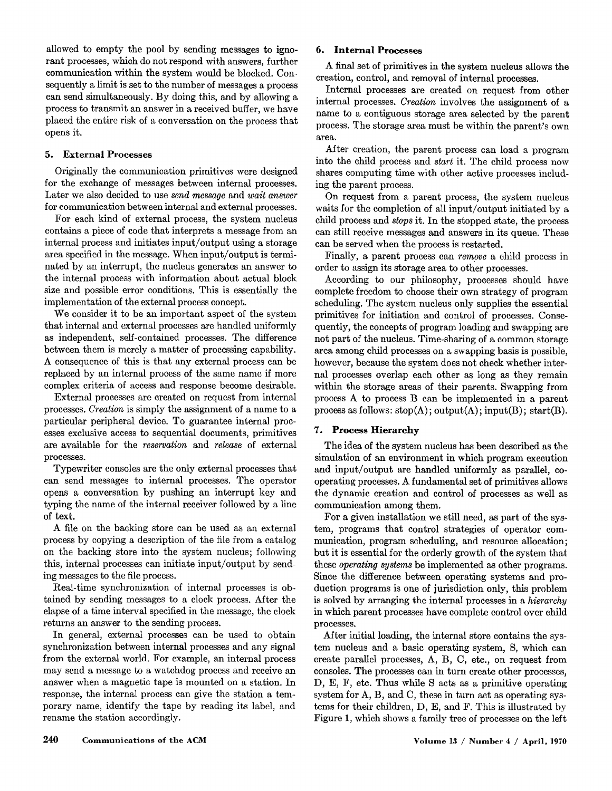allowed to empty the pool by sending messages to ignorant processes, which do not respond with answers, further communication within the system would be blocked. Consequently a limit is set to the number of messages a process can send simultaneously. By doing this, and by allowing a process to transmit an answer in a received buffer, we have placed the entire risk of a conversation on the process that opens it.

## **5. External Processes**

Originally the communication primitives were designed for the exchange of messages between internal processes. Later we also decided to use *send message* and *wait answer*  for communication between internal and external processes.

For each kind of external process, the system nucleus contains a piece of code that interprets a message from an internal process and initiates input/output using a storage area specified in the message. When input/output is terminated by an interrupt, the nucleus generates an answer to the internal process with information about actual block size and possible error conditions. This is essentially the implementation of the external process concept.

We consider it to be an important aspect of the system that internal and external processes are handled uniformly as independent, self-contained processes. The difference between them is merely a matter of processing capability. A consequence of this is that any external process can be replaced by an internal process of the same name if more complex criteria of access and response become desirable.

External processes are created on request from internal processes. *Creation* is simply the assignment of a name to a particular peripheral device. To guarantee internal processes exclusive access to sequential documents, primitives are available for the *reservation* and *release* of external processes.

Typewriter consoles are the only external processes that can send messages to internal processes. The operator opens a conversation by pushing an interrupt key and typing the name of the internal receiver followed by a line of text.

A file on the backing store can be used as an external process by copying a description of the file from a catalog on the backing store into the system nucleus; following this, internal processes can initiate input/output by sending messages to the file process.

Real-time synchronization of internal processes is obtained by sending messages to a clock process. After the elapse of a time interval specified in the message, the clock returns an answer to the sending process.

In general, external processes can be used to obtain synchronization between internal processes and any signal from the external world. For example, an internal process may send a message to a watchdog process and receive an answer when a magnetic tape is mounted on a station. In response, the internal process can give the station a temporary name, identify the tape by reading its label, and rename the station accordingly.

### **6. Internal Processes**

A final set of primitives in the system nucleus allows the creation, control, and removal of internal processes.

Internal processes are created on request from other internal processes. *Creation* involves the assignment of a name to a contiguous storage area selected by the parent process. The storage area must be within the parent's own area.

After creation, the parent process can load a program into the child process and *start* it. The child process now shares computing time with other active processes including the parent process.

On request from a parent process, the system nucleus waits for the completion of all input/output initiated by a child process and *stops* it. In the stopped state, the process can still receive messages and answers in its queue. These can be served when the process is restarted.

Finally, a parent process can *remove* a child process in order to assign its storage area to other processes.

According to our philosophy, processes should have complete freedom to choose their own strategy of program scheduling. The system nucleus only supplies the essential primitives for initiation and control of processes. Consequently, the concepts of program loading and swapping are not part of the nucleus. Time-sharing of a common storage area among child processes on a swapping basis is possible, however, because the system does not check whether internal processes overlap each other as long as they remain within the storage areas of their parents. Swapping from process A to process B can be implemented in a parent process as follows:  $stop(A)$ ;  $output(A)$ ;  $input(B)$ ;  $start(B)$ .

### **7. Process Hierarchy**

The idea of the system nucleus has been described as the simulation of an environment in which program execution and input/output are handled uniformly as parallel, cooperating processes. A fundamental set of primitives allows the dynamic creation and control of processes as well as communication among them.

For a given installation we still need, as part of the system, programs that control strategies of operator communication, program scheduling, and resource allocation; but it is essential for the orderly growth of the system that these *operating systems* be implemented as other programs. Since the difference between operating systems and production programs is one of jurisdiction only, this problem is solved by arranging the internal processes in a *hierarchy*  in which parent processes have complete control over child processes.

After initial loading, the internal store contains the system nucleus and a basic operating system, S, which can create parallel processes, A, B, C, etc., on request from consoles. The processes can in turn create other processes, D, E, F, etc. Thus while S acts as a primitive operating system for A, B, and C, these in turn act as operating systems for their children, D, E, and F. This is illustrated by Figure 1, which shows a family tree of processes on the left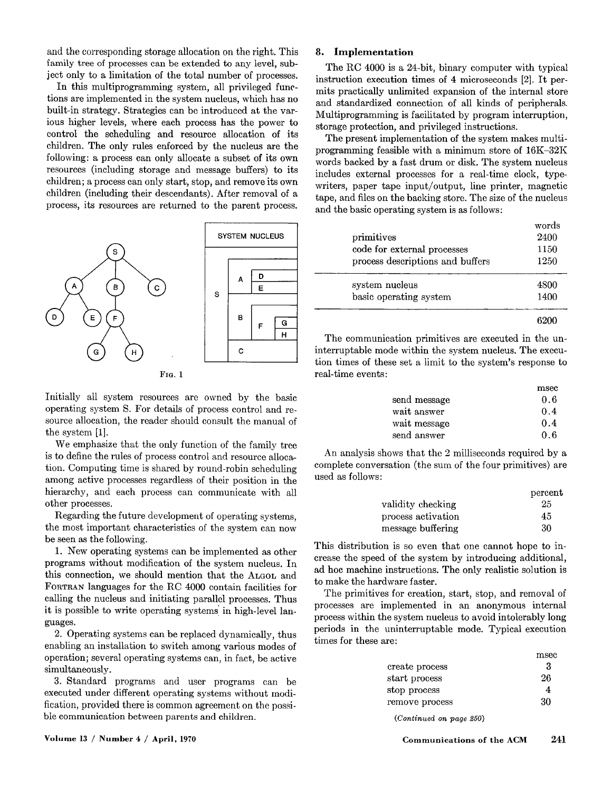and the corresponding storage allocation on the right. This family tree of processes can be extended to any level, subject only to a limitation of the total number of processes.

In this multiprogramming system, all privileged functions are implemented in the system nucleus, which has no built-in strategy. Strategies can be introduced at the various higher levels, where each process has the power to control the scheduling and resource allocation of its children. The only rules enforced by the nucleus are the following: a process can only allocate a subset of its own resources (including storage and message buffers) to its children; a process can only start, stop, and remove its own children (including their descendants). After removal of a process, its resources are returned to the parent process.



Initially all system resources are owned by the basic operating system S. For details of process control and resource allocation, the reader should consult the manual of the system [1].

We emphasize that the only function of the family tree is to define the rules of process control and resource allocation. Computing time is shared by round-robin scheduling among active processes regardless of their position in the hierarchy, and each process can communicate with all other processes.

Regarding the future development of operating systems, the most important characteristics of the system can now be seen as the following.

1. New operating systems can be implemented as other programs without modification of the system nucleus. In this connection, we should mention that the ALGOL and FORTRAN languages for the RC 4000 contain facilities for calling the nucleus and initiating parallel processes. Thus it is possible to write operating systems in high-level languages.

2. Operating systems can be replaced dynamically, thus enabling an installation to switch among various modes of operation; several operating systems can, in fact, be active simultaneously.

3. Standard programs and user programs can be executed under different operating systems without modification, provided there is common agreement on the possible communication between parents and children.

#### **8. Implementation**

The RC 4000 is a 24-bit, binary computer with typical instruction execution times of 4 microseconds [2]. It permits practically unlimited expansion of the internal store and standardized connection of all kinds of peripherals. Multiprogramming is facilitated by program interruption, storage protection, and privileged instructions.

The present implementation of the system makes multiprogramming feasible with a minimum store of 16K-32K words backed by a fast drum or disk. The system nucleus includes external processes for a real-time clock, typewriters, paper tape input/output, line printer, magnetic tape, and files on the backing store. The size of the nucleus and the basic operating system is as follows:

|                                  | words |
|----------------------------------|-------|
| primitives                       | 2400  |
| code for external processes      | 1150  |
| process descriptions and buffers | 1250  |
| system nucleus                   | 4800  |
| basic operating system           | 1400  |
|                                  |       |

The communication primitives are executed in the uninterruptable mode within the system nucleus. The execution times of these set a limit to the system's response to real-time events:

|              | msec |
|--------------|------|
| send message | 0.6  |
| wait answer  | 0.4  |
| wait message | 0.4  |
| send answer  | 0.6  |

An analysis shows that the 2 milliseconds required by a complete conversation (the sum of the four primitives) are used as follows:

|                    | percent |
|--------------------|---------|
| validity checking  | 25      |
| process activation | 45      |
| message buffering  | 30      |

This distribution is so even that one cannot hope to increase the speed of the system by introducing additional, ad hoc machine instructions. The only realistic solution is to make the hardware faster.

The primitives for creation, start, stop, and removal of processes are implemented in an anonymous internal process within the system nucleus to avoid intolerably long periods in the uninterruptable mode. Typical execution times for these are:

|                | msec |
|----------------|------|
| create process | З    |
| start process  | 26   |
| stop process   | 4    |
| remove process | 30   |

*(Continued on page 250)*